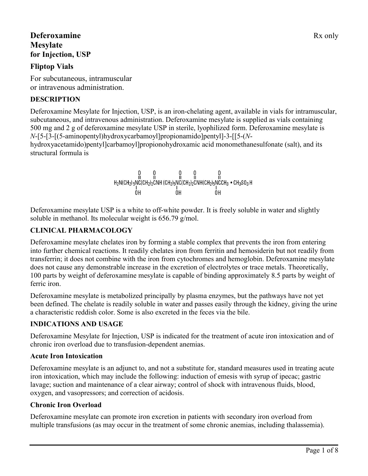# **Deferoxamine** Rx only **Mesylate for Injection, USP**

# **Fliptop Vials**

For subcutaneous, intramuscular or intravenous administration.

## **DESCRIPTION**

Deferoxamine Mesylate for Injection, USP, is an iron-chelating agent, available in vials for intramuscular, subcutaneous, and intravenous administration. Deferoxamine mesylate is supplied as vials containing 500 mg and 2 g of deferoxamine mesylate USP in sterile, lyophilized form. Deferoxamine mesylate is *N*-[5-[3-[(5-aminopentyl)hydroxycarbamoyl]propionamido]pentyl]-3-[[5-(*N*hydroxyacetamido)pentyl]carbamoyl]propionohydroxamic acid monomethanesulfonate (salt), and its structural formula is

$$
H_{2}N(CH_{2})\underset{0}{\overset{10}{5}}NC(CH_{2})_{2}CNH\ (CH_{2})_{5}NC(CH_{2})_{2}CNH(CH_{2})_{5}NC(H_{3})\overset{10}{\underset{10}{\overset{10}{5}}NC(H_{12})_{5}NC(H_{2})_{2}CNH(CH_{2})_{5}NC(H_{3})}\overset{0}{\overset{10}{\overset{10}{5}}}\overset{0}{\underset{0}{\overset{10}{\overset{10}{5}}}}\overset{0}{\overset{10}{\overset{10}{\overset{10}{5}}}}
$$

Deferoxamine mesylate USP is a white to off-white powder. It is freely soluble in water and slightly soluble in methanol. Its molecular weight is 656.79 g/mol.

# **CLINICAL PHARMACOLOGY**

Deferoxamine mesylate chelates iron by forming a stable complex that prevents the iron from entering into further chemical reactions. It readily chelates iron from ferritin and hemosiderin but not readily from transferrin; it does not combine with the iron from cytochromes and hemoglobin. Deferoxamine mesylate does not cause any demonstrable increase in the excretion of electrolytes or trace metals. Theoretically, 100 parts by weight of deferoxamine mesylate is capable of binding approximately 8.5 parts by weight of ferric iron.

Deferoxamine mesylate is metabolized principally by plasma enzymes, but the pathways have not yet been defined. The chelate is readily soluble in water and passes easily through the kidney, giving the urine a characteristic reddish color. Some is also excreted in the feces via the bile.

## **INDICATIONS AND USAGE**

Deferoxamine Mesylate for Injection, USP is indicated for the treatment of acute iron intoxication and of chronic iron overload due to transfusion-dependent anemias.

## **Acute Iron Intoxication**

Deferoxamine mesylate is an adjunct to, and not a substitute for, standard measures used in treating acute iron intoxication, which may include the following: induction of emesis with syrup of ipecac; gastric lavage; suction and maintenance of a clear airway; control of shock with intravenous fluids, blood, oxygen, and vasopressors; and correction of acidosis.

## **Chronic Iron Overload**

Deferoxamine mesylate can promote iron excretion in patients with secondary iron overload from multiple transfusions (as may occur in the treatment of some chronic anemias, including thalassemia).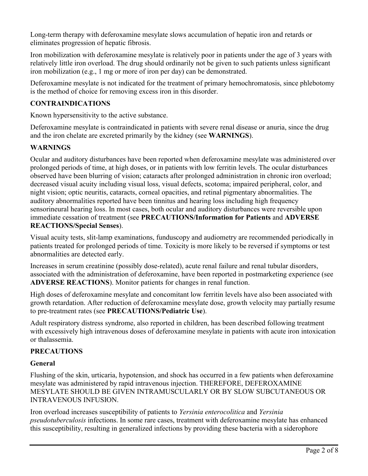Long-term therapy with deferoxamine mesylate slows accumulation of hepatic iron and retards or eliminates progression of hepatic fibrosis.

Iron mobilization with deferoxamine mesylate is relatively poor in patients under the age of 3 years with relatively little iron overload. The drug should ordinarily not be given to such patients unless significant iron mobilization (e.g., 1 mg or more of iron per day) can be demonstrated.

Deferoxamine mesylate is not indicated for the treatment of primary hemochromatosis, since phlebotomy is the method of choice for removing excess iron in this disorder.

## **CONTRAINDICATIONS**

Known hypersensitivity to the active substance.

Deferoxamine mesylate is contraindicated in patients with severe renal disease or anuria, since the drug and the iron chelate are excreted primarily by the kidney (see **WARNINGS**).

## **WARNINGS**

Ocular and auditory disturbances have been reported when deferoxamine mesylate was administered over prolonged periods of time, at high doses, or in patients with low ferritin levels. The ocular disturbances observed have been blurring of vision; cataracts after prolonged administration in chronic iron overload; decreased visual acuity including visual loss, visual defects, scotoma; impaired peripheral, color, and night vision; optic neuritis, cataracts, corneal opacities, and retinal pigmentary abnormalities. The auditory abnormalities reported have been tinnitus and hearing loss including high frequency sensorineural hearing loss. In most cases, both ocular and auditory disturbances were reversible upon immediate cessation of treatment (see **PRECAUTIONS/Information for Patients** and **ADVERSE REACTIONS/Special Senses**).

Visual acuity tests, slit-lamp examinations, funduscopy and audiometry are recommended periodically in patients treated for prolonged periods of time. Toxicity is more likely to be reversed if symptoms or test abnormalities are detected early.

Increases in serum creatinine (possibly dose-related), acute renal failure and renal tubular disorders, associated with the administration of deferoxamine, have been reported in postmarketing experience (see **ADVERSE REACTIONS**). Monitor patients for changes in renal function.

High doses of deferoxamine mesylate and concomitant low ferritin levels have also been associated with growth retardation. After reduction of deferoxamine mesylate dose, growth velocity may partially resume to pre-treatment rates (see **PRECAUTIONS/Pediatric Use**).

Adult respiratory distress syndrome, also reported in children, has been described following treatment with excessively high intravenous doses of deferoxamine mesylate in patients with acute iron intoxication or thalassemia.

## **PRECAUTIONS**

### **General**

Flushing of the skin, urticaria, hypotension, and shock has occurred in a few patients when deferoxamine mesylate was administered by rapid intravenous injection. THEREFORE, DEFEROXAMINE MESYLATE SHOULD BE GIVEN INTRAMUSCULARLY OR BY SLOW SUBCUTANEOUS OR INTRAVENOUS INFUSION.

Iron overload increases susceptibility of patients to *Yersinia enterocolitica* and *Yersinia pseudotuberculosis* infections. In some rare cases, treatment with deferoxamine mesylate has enhanced this susceptibility, resulting in generalized infections by providing these bacteria with a siderophore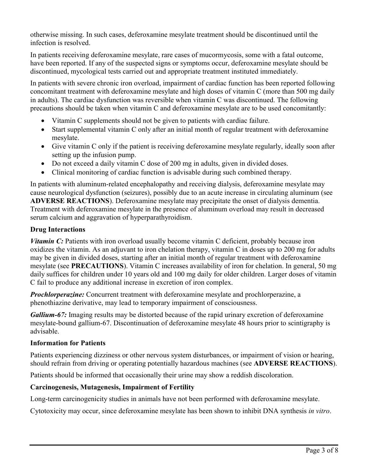otherwise missing. In such cases, deferoxamine mesylate treatment should be discontinued until the infection is resolved.

In patients receiving deferoxamine mesylate, rare cases of mucormycosis, some with a fatal outcome, have been reported. If any of the suspected signs or symptoms occur, deferoxamine mesylate should be discontinued, mycological tests carried out and appropriate treatment instituted immediately.

In patients with severe chronic iron overload, impairment of cardiac function has been reported following concomitant treatment with deferoxamine mesylate and high doses of vitamin C (more than 500 mg daily in adults). The cardiac dysfunction was reversible when vitamin C was discontinued. The following precautions should be taken when vitamin C and deferoxamine mesylate are to be used concomitantly:

- Vitamin C supplements should not be given to patients with cardiac failure.
- Start supplemental vitamin C only after an initial month of regular treatment with deferoxamine mesylate.
- Give vitamin C only if the patient is receiving deferoxamine mesylate regularly, ideally soon after setting up the infusion pump.
- Do not exceed a daily vitamin C dose of 200 mg in adults, given in divided doses.
- Clinical monitoring of cardiac function is advisable during such combined therapy.

In patients with aluminum-related encephalopathy and receiving dialysis, deferoxamine mesylate may cause neurological dysfunction (seizures), possibly due to an acute increase in circulating aluminum (see **ADVERSE REACTIONS**). Deferoxamine mesylate may precipitate the onset of dialysis dementia. Treatment with deferoxamine mesylate in the presence of aluminum overload may result in decreased serum calcium and aggravation of hyperparathyroidism.

### **Drug Interactions**

*Vitamin C*: Patients with iron overload usually become vitamin C deficient, probably because iron oxidizes the vitamin. As an adjuvant to iron chelation therapy, vitamin C in doses up to 200 mg for adults may be given in divided doses, starting after an initial month of regular treatment with deferoxamine mesylate (see **PRECAUTIONS**). Vitamin C increases availability of iron for chelation. In general, 50 mg daily suffices for children under 10 years old and 100 mg daily for older children. Larger doses of vitamin C fail to produce any additional increase in excretion of iron complex.

*Prochlorperazine:* Concurrent treatment with deferoxamine mesylate and prochlorperazine, a phenothiazine derivative, may lead to temporary impairment of consciousness.

*Gallium-67:* Imaging results may be distorted because of the rapid urinary excretion of deferoxamine mesylate-bound gallium-67. Discontinuation of deferoxamine mesylate 48 hours prior to scintigraphy is advisable.

### **Information for Patients**

Patients experiencing dizziness or other nervous system disturbances, or impairment of vision or hearing, should refrain from driving or operating potentially hazardous machines (see **ADVERSE REACTIONS**).

Patients should be informed that occasionally their urine may show a reddish discoloration.

### **Carcinogenesis, Mutagenesis, Impairment of Fertility**

Long-term carcinogenicity studies in animals have not been performed with deferoxamine mesylate.

Cytotoxicity may occur, since deferoxamine mesylate has been shown to inhibit DNA synthesis *in vitro*.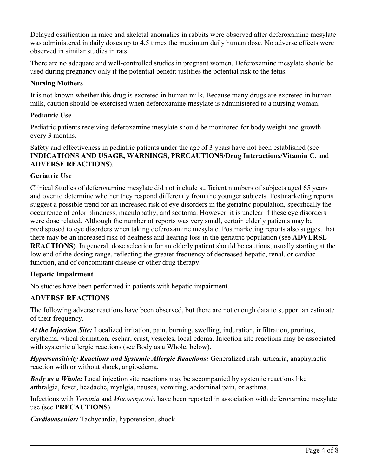Delayed ossification in mice and skeletal anomalies in rabbits were observed after deferoxamine mesylate was administered in daily doses up to 4.5 times the maximum daily human dose. No adverse effects were observed in similar studies in rats.

There are no adequate and well-controlled studies in pregnant women. Deferoxamine mesylate should be used during pregnancy only if the potential benefit justifies the potential risk to the fetus.

## **Nursing Mothers**

It is not known whether this drug is excreted in human milk. Because many drugs are excreted in human milk, caution should be exercised when deferoxamine mesylate is administered to a nursing woman.

### **Pediatric Use**

Pediatric patients receiving deferoxamine mesylate should be monitored for body weight and growth every 3 months.

Safety and effectiveness in pediatric patients under the age of 3 years have not been established (see **INDICATIONS AND USAGE, WARNINGS, PRECAUTIONS/Drug Interactions/Vitamin C**, and **ADVERSE REACTIONS**).

### **Geriatric Use**

Clinical Studies of deferoxamine mesylate did not include sufficient numbers of subjects aged 65 years and over to determine whether they respond differently from the younger subjects. Postmarketing reports suggest a possible trend for an increased risk of eye disorders in the geriatric population, specifically the occurrence of color blindness, maculopathy, and scotoma. However, it is unclear if these eye disorders were dose related. Although the number of reports was very small, certain elderly patients may be predisposed to eye disorders when taking deferoxamine mesylate. Postmarketing reports also suggest that there may be an increased risk of deafness and hearing loss in the geriatric population (see **ADVERSE REACTIONS**). In general, dose selection for an elderly patient should be cautious, usually starting at the low end of the dosing range, reflecting the greater frequency of decreased hepatic, renal, or cardiac function, and of concomitant disease or other drug therapy.

### **Hepatic Impairment**

No studies have been performed in patients with hepatic impairment.

## **ADVERSE REACTIONS**

The following adverse reactions have been observed, but there are not enough data to support an estimate of their frequency.

*At the Injection Site:* Localized irritation, pain, burning, swelling, induration, infiltration, pruritus, erythema, wheal formation, eschar, crust, vesicles, local edema. Injection site reactions may be associated with systemic allergic reactions (see Body as a Whole, below).

*Hypersensitivity Reactions and Systemic Allergic Reactions:* Generalized rash, urticaria, anaphylactic reaction with or without shock, angioedema.

*Body as a Whole:* Local injection site reactions may be accompanied by systemic reactions like arthralgia, fever, headache, myalgia, nausea, vomiting, abdominal pain, or asthma.

Infections with *Yersinia* and *Mucormycosis* have been reported in association with deferoxamine mesylate use (see **PRECAUTIONS**).

*Cardiovascular:* Tachycardia, hypotension, shock.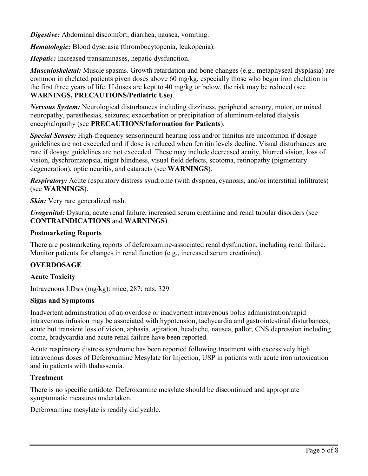*Digestive:* Abdominal discomfort, diarrhea, nausea, vomiting.

*Hematologic:* Blood dyscrasia (thrombocytopenia, leukopenia).

*Hepatic:* Increased transaminases, hepatic dysfunction.

*Musculoskeletal:* Muscle spasms. Growth retardation and bone changes (e.g., metaphyseal dysplasia) are common in chelated patients given doses above 60 mg/kg, especially those who begin iron chelation in the first three years of life. If doses are kept to 40 mg/kg or below, the risk may be reduced (see **WARNINGS, PRECAUTIONS/Pediatric Use**).

*Nervous System:* Neurological disturbances including dizziness, peripheral sensory, motor, or mixed neuropathy, paresthesias, seizures; exacerbation or precipitation of aluminum-related dialysis encephalopathy (see **PRECAUTIONS/Information for Patients**).

*Special Senses:* High-frequency sensorineural hearing loss and/or tinnitus are uncommon if dosage guidelines are not exceeded and if dose is reduced when ferritin levels decline. Visual disturbances are rare if dosage guidelines are not exceeded. These may include decreased acuity, blurred vision, loss of vision, dyschromatopsia, night blindness, visual field defects, scotoma, retinopathy (pigmentary degeneration), optic neuritis, and cataracts (see **WARNINGS**).

*Respiratory:* Acute respiratory distress syndrome (with dyspnea, cyanosis, and/or interstitial infiltrates) (see **WARNINGS**).

*<i>Skin*: Very rare generalized rash.

*Urogenital:* Dysuria, acute renal failure, increased serum creatinine and renal tubular disorders (see **CONTRAINDICATIONS** and **WARNINGS**).

### **Postmarketing Reports**

There are postmarketing reports of deferoxamine-associated renal dysfunction, including renal failure. Monitor patients for changes in renal function (e.g., increased serum creatinine).

## **OVERDOSAGE**

### **Acute Toxicity**

Intravenous  $LD<sub>50</sub>s$  (mg/kg): mice, 287; rats, 329.

## **Signs and Symptoms**

Inadvertent administration of an overdose or inadvertent intravenous bolus administration/rapid intravenous infusion may be associated with hypotension, tachycardia and gastrointestinal disturbances; acute but transient loss of vision, aphasia, agitation, headache, nausea, pallor, CNS depression including coma, bradycardia and acute renal failure have been reported.

Acute respiratory distress syndrome has been reported following treatment with excessively high intravenous doses of Deferoxamine Mesylate for Injection, USP in patients with acute iron intoxication and in patients with thalassemia.

### **Treatment**

There is no specific antidote. Deferoxamine mesylate should be discontinued and appropriate symptomatic measures undertaken.

Deferoxamine mesylate is readily dialyzable.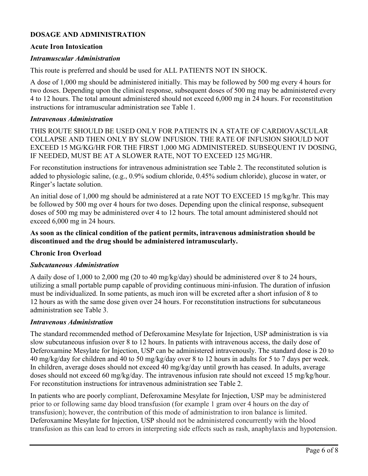## **DOSAGE AND ADMINISTRATION**

#### **Acute Iron Intoxication**

#### *Intramuscular Administration*

This route is preferred and should be used for ALL PATIENTS NOT IN SHOCK.

A dose of 1,000 mg should be administered initially. This may be followed by 500 mg every 4 hours for two doses. Depending upon the clinical response, subsequent doses of 500 mg may be administered every 4 to 12 hours. The total amount administered should not exceed 6,000 mg in 24 hours. For reconstitution instructions for intramuscular administration see Table 1.

#### *Intravenous Administration*

THIS ROUTE SHOULD BE USED ONLY FOR PATIENTS IN A STATE OF CARDIOVASCULAR COLLAPSE AND THEN ONLY BY SLOW INFUSION. THE RATE OF INFUSION SHOULD NOT EXCEED 15 MG/KG/HR FOR THE FIRST 1,000 MG ADMINISTERED. SUBSEQUENT IV DOSING, IF NEEDED, MUST BE AT A SLOWER RATE, NOT TO EXCEED 125 MG/HR.

For reconstitution instructions for intravenous administration see Table 2. The reconstituted solution is added to physiologic saline, (e.g., 0.9% sodium chloride, 0.45% sodium chloride), glucose in water, or Ringer's lactate solution.

An initial dose of 1,000 mg should be administered at a rate NOT TO EXCEED 15 mg/kg/hr. This may be followed by 500 mg over 4 hours for two doses. Depending upon the clinical response, subsequent doses of 500 mg may be administered over 4 to 12 hours. The total amount administered should not exceed 6,000 mg in 24 hours.

#### **As soon as the clinical condition of the patient permits, intravenous administration should be discontinued and the drug should be administered intramuscularly.**

#### **Chronic Iron Overload**

#### *Subcutaneous Administration*

A daily dose of 1,000 to 2,000 mg (20 to 40 mg/kg/day) should be administered over 8 to 24 hours, utilizing a small portable pump capable of providing continuous mini-infusion. The duration of infusion must be individualized. In some patients, as much iron will be excreted after a short infusion of 8 to 12 hours as with the same dose given over 24 hours. For reconstitution instructions for subcutaneous administration see Table 3.

#### *Intravenous Administration*

The standard recommended method of Deferoxamine Mesylate for Injection, USP administration is via slow subcutaneous infusion over 8 to 12 hours. In patients with intravenous access, the daily dose of Deferoxamine Mesylate for Injection, USP can be administered intravenously. The standard dose is 20 to 40 mg/kg/day for children and 40 to 50 mg/kg/day over 8 to 12 hours in adults for 5 to 7 days per week. In children, average doses should not exceed 40 mg/kg/day until growth has ceased. In adults, average doses should not exceed 60 mg/kg/day. The intravenous infusion rate should not exceed 15 mg/kg/hour. For reconstitution instructions for intravenous administration see Table 2.

In patients who are poorly compliant, Deferoxamine Mesylate for Injection, USP may be administered prior to or following same day blood transfusion (for example 1 gram over 4 hours on the day of transfusion); however, the contribution of this mode of administration to iron balance is limited. Deferoxamine Mesylate for Injection, USP should not be administered concurrently with the blood transfusion as this can lead to errors in interpreting side effects such as rash, anaphylaxis and hypotension.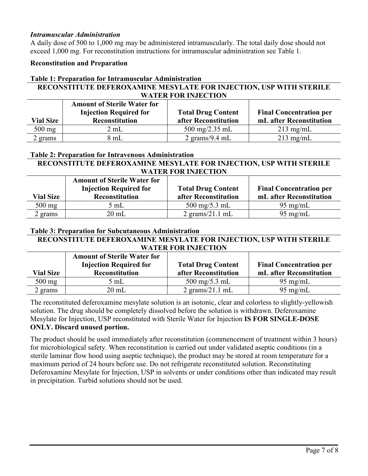#### *Intramuscular Administration*

A daily dose of 500 to 1,000 mg may be administered intramuscularly. The total daily dose should not exceed 1,000 mg. For reconstitution instructions for intramuscular administration see Table 1.

#### **Reconstitution and Preparation**

### **Table 1: Preparation for Intramuscular Administration**

### **RECONSTITUTE DEFEROXAMINE MESYLATE FOR INJECTION, USP WITH STERILE WATER FOR INJECTION**

|                  | <b>Amount of Sterile Water for</b> |                                  |                                |
|------------------|------------------------------------|----------------------------------|--------------------------------|
|                  | <b>Injection Required for</b>      | <b>Total Drug Content</b>        | <b>Final Concentration per</b> |
| <b>Vial Size</b> | <b>Reconstitution</b>              | after Reconstitution             | mL after Reconstitution        |
| $500$ mg         | 2 mL                               | 500 mg/2.35 mL                   | $213 \text{ mg/mL}$            |
| 2 grams          | 8 mL                               | $2 \text{ grams}/9.4 \text{ mL}$ | $213 \text{ mg/mL}$            |

#### **Table 2: Preparation for Intravenous Administration**

#### **RECONSTITUTE DEFEROXAMINE MESYLATE FOR INJECTION, USP WITH STERILE WATER FOR INJECTION**

| <b>Vial Size</b> | <b>Amount of Sterile Water for</b><br><b>Injection Required for</b><br>Reconstitution | <b>Total Drug Content</b><br>after Reconstitution | <b>Final Concentration per</b><br>mL after Reconstitution |
|------------------|---------------------------------------------------------------------------------------|---------------------------------------------------|-----------------------------------------------------------|
| $500$ mg         | 5 mL                                                                                  | $500 \text{ mg}/5.3 \text{ mL}$                   | $95 \text{ mg/mL}$                                        |
| 2 grams          | $20 \text{ mL}$                                                                       | $2$ grams/ $21.1$ mL                              | $95 \text{ mg/mL}$                                        |

#### **Table 3: Preparation for Subcutaneous Administration**

#### **RECONSTITUTE DEFEROXAMINE MESYLATE FOR INJECTION, USP WITH STERILE WATER FOR INJECTION**

| <b>Vial Size</b> | <b>Amount of Sterile Water for</b><br><b>Injection Required for</b><br><b>Reconstitution</b> | <b>Total Drug Content</b><br>after Reconstitution | <b>Final Concentration per</b><br>mL after Reconstitution |
|------------------|----------------------------------------------------------------------------------------------|---------------------------------------------------|-----------------------------------------------------------|
| $500 \text{ mg}$ | 5 mL                                                                                         | 500 mg/5.3 mL                                     | $95 \text{ mg/mL}$                                        |
| 2 grams          | 20 mL                                                                                        | $2 \text{ grams}/21.1 \text{ mL}$                 | $95 \text{ mg/mL}$                                        |

The reconstituted deferoxamine mesylate solution is an isotonic, clear and colorless to slightly-yellowish solution. The drug should be completely dissolved before the solution is withdrawn. Deferoxamine Mesylate for Injection, USP reconstituted with Sterile Water for Injection **IS FOR SINGLE-DOSE ONLY. Discard unused portion.** 

The product should be used immediately after reconstitution (commencement of treatment within 3 hours) for microbiological safety. When reconstitution is carried out under validated aseptic conditions (in a sterile laminar flow hood using aseptic technique), the product may be stored at room temperature for a maximum period of 24 hours before use. Do not refrigerate reconstituted solution. Reconstituting Deferoxamine Mesylate for Injection, USP in solvents or under conditions other than indicated may result in precipitation. Turbid solutions should not be used.